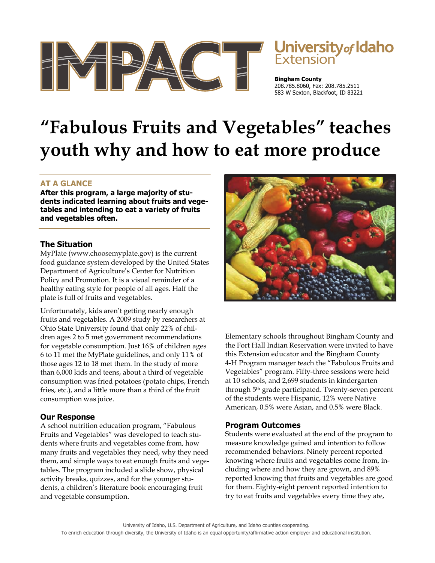

# University<sub>of</sub> Idaho

**Bingham County**  208.785.8060, Fax: 208.785.2511 583 W Sexton, Blackfoot, ID 83221

# **"Fabulous Fruits and Vegetables" teaches youth why and how to eat more produce**

# **AT A GLANCE**

**After this program, a large majority of students indicated learning about fruits and vegetables and intending to eat a variety of fruits and vegetables often.**

#### **The Situation**

MyPlate (www.choosemyplate.gov) is the current food guidance system developed by the United States Department of Agriculture's Center for Nutrition Policy and Promotion. It is a visual reminder of a healthy eating style for people of all ages. Half the plate is full of fruits and vegetables.

Unfortunately, kids aren't getting nearly enough fruits and vegetables. A 2009 study by researchers at Ohio State University found that only 22% of children ages 2 to 5 met government recommendations for vegetable consumption. Just 16% of children ages 6 to 11 met the MyPlate guidelines, and only 11% of those ages 12 to 18 met them. In the study of more than 6,000 kids and teens, about a third of vegetable consumption was fried potatoes (potato chips, French fries, etc.), and a little more than a third of the fruit consumption was juice.

# **Our Response**

A school nutrition education program, "Fabulous Fruits and Vegetables" was developed to teach students where fruits and vegetables come from, how many fruits and vegetables they need, why they need them, and simple ways to eat enough fruits and vegetables. The program included a slide show, physical activity breaks, quizzes, and for the younger students, a children's literature book encouraging fruit and vegetable consumption.



Elementary schools throughout Bingham County and the Fort Hall Indian Reservation were invited to have this Extension educator and the Bingham County 4-H Program manager teach the "Fabulous Fruits and Vegetables" program. Fifty-three sessions were held at 10 schools, and 2,699 students in kindergarten through 5th grade participated. Twenty-seven percent of the students were Hispanic, 12% were Native American, 0.5% were Asian, and 0.5% were Black.

#### **Program Outcomes**

Students were evaluated at the end of the program to measure knowledge gained and intention to follow recommended behaviors. Ninety percent reported knowing where fruits and vegetables come from, including where and how they are grown, and 89% reported knowing that fruits and vegetables are good for them. Eighty-eight percent reported intention to try to eat fruits and vegetables every time they ate,